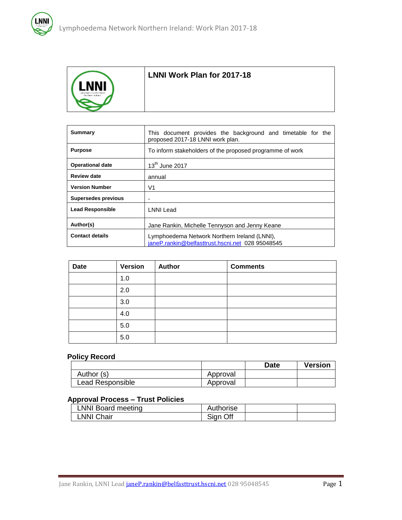

### **LNNI Work Plan for 2017-18**

| Summary                    | This document provides the background and timetable for the<br>proposed 2017-18 LNNI work plan.  |  |  |
|----------------------------|--------------------------------------------------------------------------------------------------|--|--|
| <b>Purpose</b>             | To inform stakeholders of the proposed programme of work                                         |  |  |
| <b>Operational date</b>    | $13th$ June 2017                                                                                 |  |  |
| <b>Review date</b>         | annual                                                                                           |  |  |
| <b>Version Number</b>      | V1                                                                                               |  |  |
| <b>Supersedes previous</b> | ۰                                                                                                |  |  |
| <b>Lead Responsible</b>    | LNNI Lead                                                                                        |  |  |
| Author(s)                  | Jane Rankin, Michelle Tennyson and Jenny Keane                                                   |  |  |
| <b>Contact details</b>     | Lymphoedema Network Northern Ireland (LNNI),<br>janeP.rankin@belfasttrust.hscni.net 028 95048545 |  |  |

| <b>Date</b> | <b>Version</b> | <b>Author</b> | <b>Comments</b> |
|-------------|----------------|---------------|-----------------|
|             | 1.0            |               |                 |
|             | 2.0            |               |                 |
|             | 3.0            |               |                 |
|             | 4.0            |               |                 |
|             | 5.0            |               |                 |
|             | 5.0            |               |                 |

## **Policy Record**

|                  |          | Date | <b>Version</b> |
|------------------|----------|------|----------------|
| Author (s)       | Approval |      |                |
| Lead Responsible | Approval |      |                |

#### **Approval Process – Trust Policies**

| LNNI Board meeting | Authorise |  |
|--------------------|-----------|--|
| LNNI Chair         | Sign Off  |  |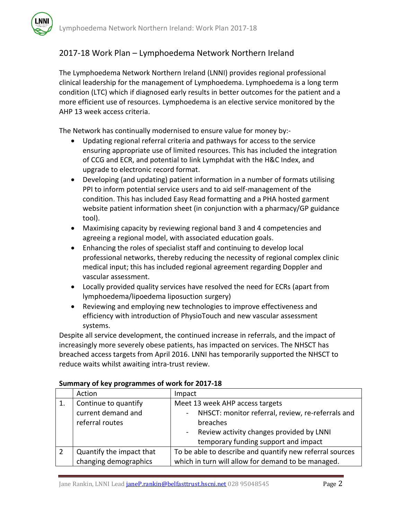# 2017-18 Work Plan – Lymphoedema Network Northern Ireland

The Lymphoedema Network Northern Ireland (LNNI) provides regional professional clinical leadership for the management of Lymphoedema. Lymphoedema is a long term condition (LTC) which if diagnosed early results in better outcomes for the patient and a more efficient use of resources. Lymphoedema is an elective service monitored by the AHP 13 week access criteria.

The Network has continually modernised to ensure value for money by:-

- Updating regional referral criteria and pathways for access to the service ensuring appropriate use of limited resources. This has included the integration of CCG and ECR, and potential to link Lymphdat with the H&C Index, and upgrade to electronic record format.
- Developing (and updating) patient information in a number of formats utilising PPI to inform potential service users and to aid self-management of the condition. This has included Easy Read formatting and a PHA hosted garment website patient information sheet (in conjunction with a pharmacy/GP guidance tool).
- Maximising capacity by reviewing regional band 3 and 4 competencies and agreeing a regional model, with associated education goals.
- Enhancing the roles of specialist staff and continuing to develop local professional networks, thereby reducing the necessity of regional complex clinic medical input; this has included regional agreement regarding Doppler and vascular assessment.
- Locally provided quality services have resolved the need for ECRs (apart from lymphoedema/lipoedema liposuction surgery)
- Reviewing and employing new technologies to improve effectiveness and efficiency with introduction of PhysioTouch and new vascular assessment systems.

Despite all service development, the continued increase in referrals, and the impact of increasingly more severely obese patients, has impacted on services. The NHSCT has breached access targets from April 2016. LNNI has temporarily supported the NHSCT to reduce waits whilst awaiting intra-trust review.

| Action                   | Impact                                                   |  |
|--------------------------|----------------------------------------------------------|--|
| Continue to quantify     | Meet 13 week AHP access targets                          |  |
| current demand and       | NHSCT: monitor referral, review, re-referrals and        |  |
| referral routes          | breaches                                                 |  |
|                          | Review activity changes provided by LNNI                 |  |
|                          | temporary funding support and impact                     |  |
| Quantify the impact that | To be able to describe and quantify new referral sources |  |
| changing demographics    | which in turn will allow for demand to be managed.       |  |

#### **Summary of key programmes of work for 2017-18**